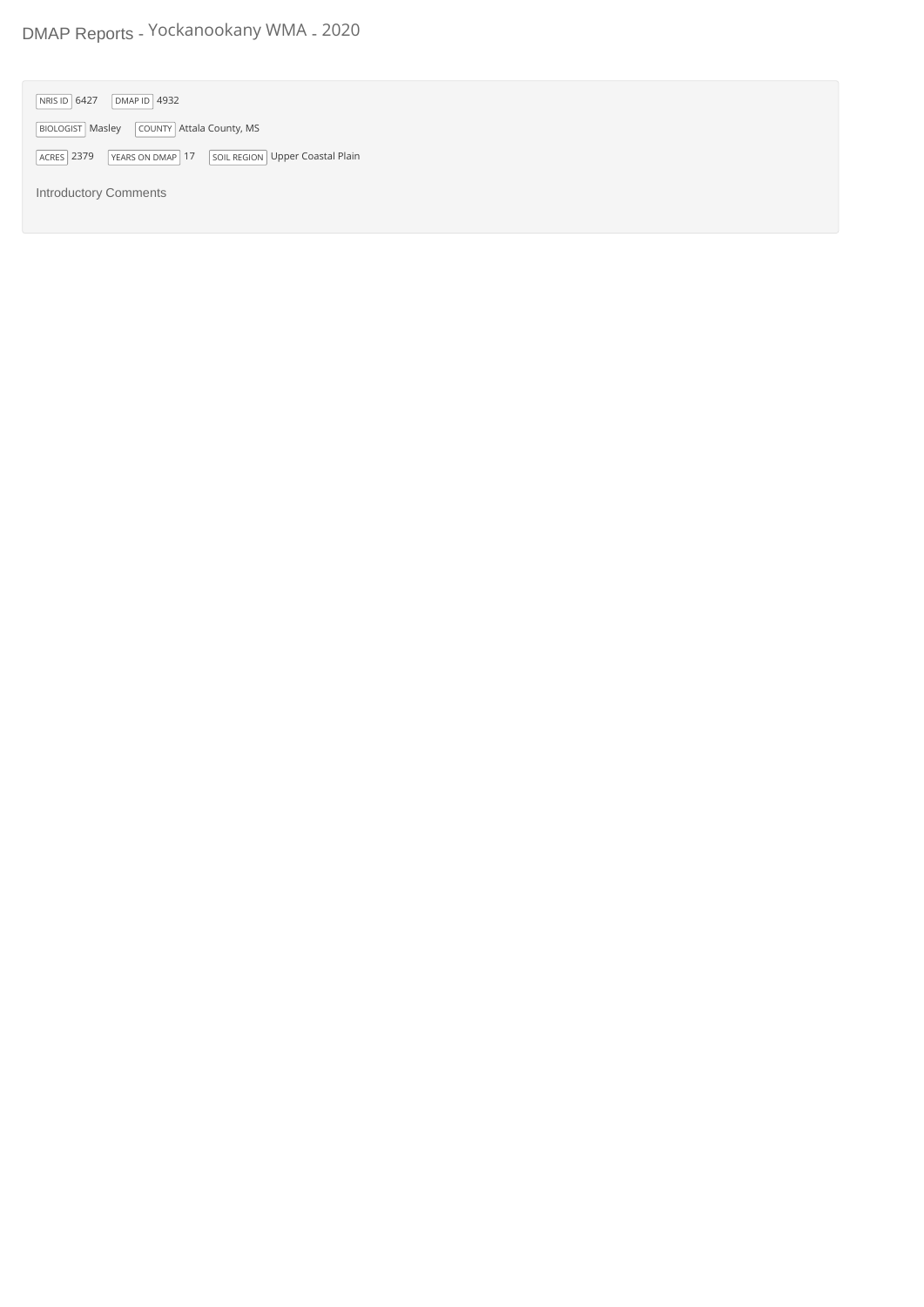## DMAP Reports - Yockanookany WMA - 2020

| DMAP ID $ 4932$<br>NRIS ID 6427                                          |
|--------------------------------------------------------------------------|
| BIOLOGIST Masley COUNTY Attala County, MS                                |
| YEARS ON DMAP 17<br><b>ACRES</b> 2379<br>SOIL REGION Upper Coastal Plain |
| <b>Introductory Comments</b>                                             |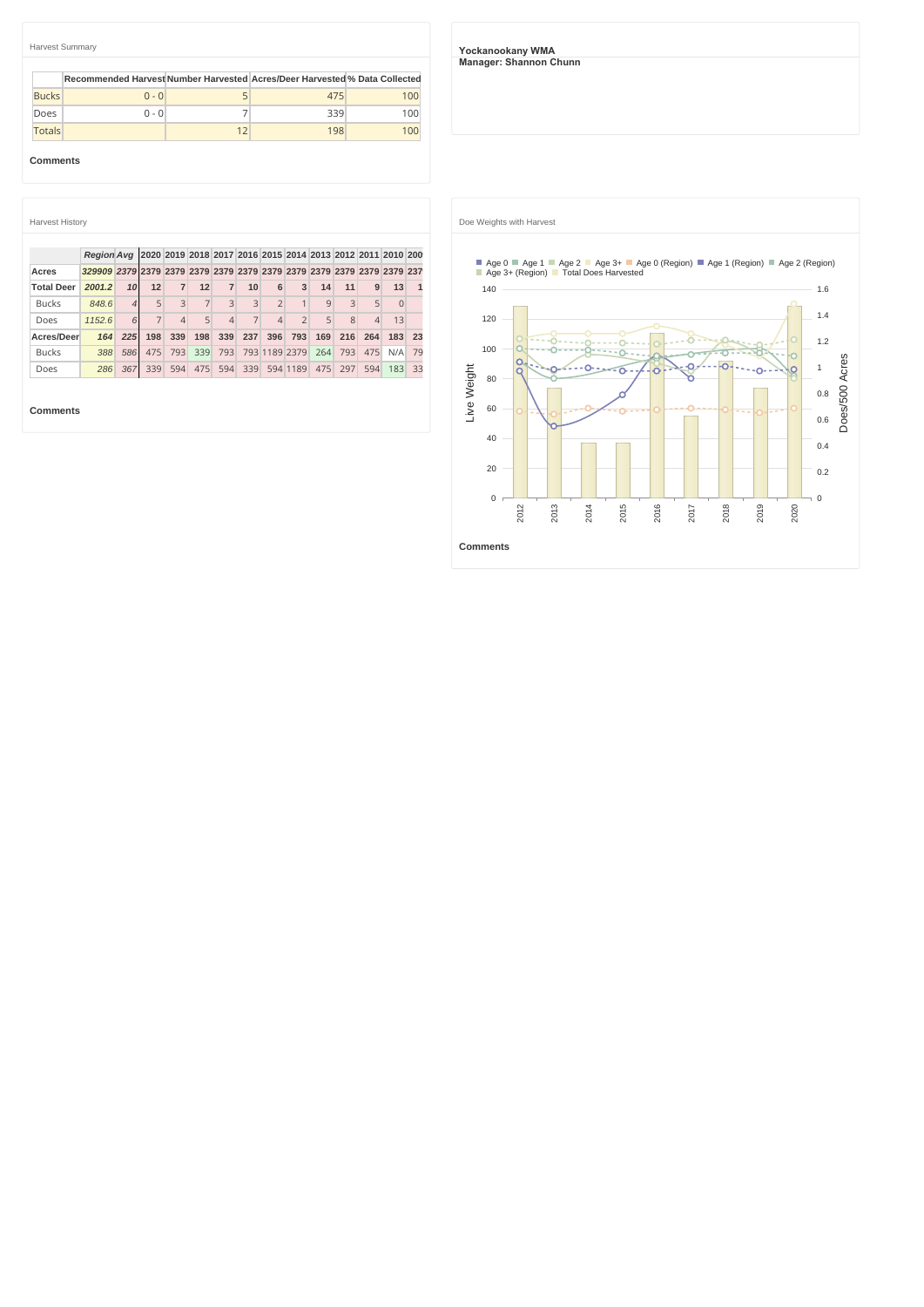|               | Harvest Summary                                                            |    |     |     |
|---------------|----------------------------------------------------------------------------|----|-----|-----|
|               | Recommended Harvest Number Harvested Acres/Deer Harvested % Data Collected |    |     |     |
| <b>Bucks</b>  | $0 - 0$                                                                    |    | 475 | 100 |
| Does          | $0 - 0$                                                                    |    | 339 | 100 |
| <b>Totals</b> |                                                                            | 12 | 198 | 100 |

**Comments**

| <b>Harvest History</b> |                   |                 |                |                |                                                            |                          |                |                |                |     |     |                |          |    |
|------------------------|-------------------|-----------------|----------------|----------------|------------------------------------------------------------|--------------------------|----------------|----------------|----------------|-----|-----|----------------|----------|----|
|                        |                   |                 |                |                |                                                            |                          |                |                |                |     |     |                |          |    |
| Acres                  | <b>Reaion Ava</b> |                 |                |                | 2020 2019 2018 2017 2016 2015 2014 2013 2012 2011 2010 200 |                          |                |                |                |     |     |                |          |    |
|                        |                   |                 |                |                |                                                            |                          |                |                |                |     |     |                |          |    |
| <b>Total Deer</b>      | 2001.2            | 10 <sup>1</sup> | 12             | $\overline{7}$ | 12                                                         | $\overline{7}$           | 10             | 6              | 3              | 14  | 11  | 9              | 13       |    |
| <b>Bucks</b>           | 848.6             | $\overline{4}$  | 5              | 3              | $\overline{7}$                                             | 3                        | 3              | $\overline{2}$ | 1              | 9   | 3   | 5              | $\Omega$ |    |
| Does                   | 1152.6            | 6               | $\overline{7}$ | $\overline{4}$ | 5                                                          | $\overline{\mathcal{L}}$ | $\overline{7}$ | $\Delta$       | $\overline{2}$ | 5   | 8   | $\overline{4}$ | 13       |    |
| Acres/Deer             | 164               | 225             | 198            | 339            | 198                                                        | 339                      | 237            | 396            | 793            | 169 | 216 | 264            | 183      | 23 |
| <b>Bucks</b>           | 388               | 586             | 475            | 793            | 339                                                        | 793                      |                |                | 793 1189 2379  | 264 | 793 | 475            | N/A      | 79 |
| Does                   | 286               | 367             | 339            | 594            | 475                                                        | 594                      | 339            |                | 594 1189       | 475 | 297 | 594            | 183      | 33 |

**Comments**

**Yockanookany WMA Manager: Shannon Chunn**



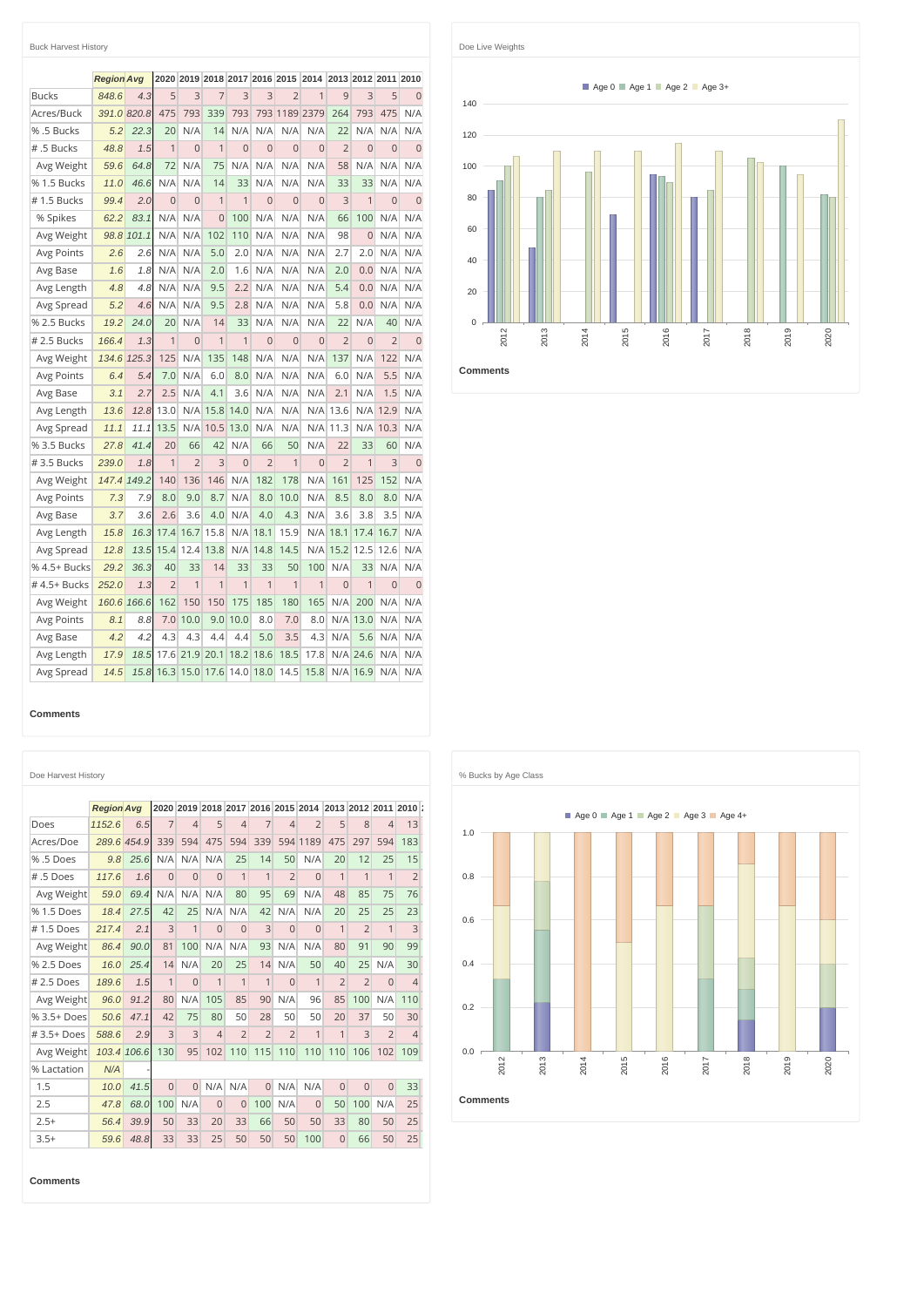| <b>Buck Harvest History</b> |                   |       |                |                |                |                |                |                |                |                |                |                |                |
|-----------------------------|-------------------|-------|----------------|----------------|----------------|----------------|----------------|----------------|----------------|----------------|----------------|----------------|----------------|
|                             | <b>Region Avg</b> |       | 2020           |                |                | 2019 2018 2017 |                | 2016 2015      | 2014           |                | 2013 2012 2011 |                | 2010           |
| <b>Bucks</b>                | 848.6             | 4.3   | 5              | 3              | $\overline{7}$ | 3              | 3              | $\overline{2}$ | $\overline{1}$ | 9              | 3              | 5              | $\overline{0}$ |
| Acres/Buck                  | 391.0             | 820.8 | 475            | 793            | 339            | 793            | 793            | 1189           | 2379           | 264            | 793            | 475            | N/A            |
| % .5 Bucks                  | 5.2               | 22.3  | 20             | N/A            | 14             | N/A            | N/A            | N/A            | N/A            | 22             | N/A            | N/A            | N/A            |
| # .5 Bucks                  | 48.8              | 1.5   | 1              | $\Omega$       | 1              | $\Omega$       | $\Omega$       | $\Omega$       | $\Omega$       | $\overline{2}$ | $\Omega$       | $\overline{0}$ | $\Omega$       |
| Avg Weight                  | 59.6              | 64.8  | 72             | N/A            | 75             | N/A            | N/A            | N/A            | N/A            | 58             | N/A            | N/A            | N/A            |
| % 1.5 Bucks                 | 11.0              | 46.6  | N/A            | N/A            | 14             | 33             | N/A            | N/A            | N/A            | 33             | 33             | N/A            | N/A            |
| #1.5 Bucks                  | 99.4              | 2.0   | $\Omega$       | $\Omega$       | $\overline{1}$ | 1              | $\overline{0}$ | $\overline{0}$ | $\Omega$       | 3              | $\mathbf{1}$   | $\overline{0}$ | $\overline{0}$ |
| % Spikes                    | 62.2              | 83.1  | N/A            | N/A            | $\Omega$       | 100            | N/A            | N/A            | N/A            | 66             | 100            | N/A            | N/A            |
| Avg Weight                  | 98.8              | 101.1 | N/A            | N/A            | 102            | 110            | N/A            | N/A            | N/A            | 98             | $\Omega$       | N/A            | N/A            |
| Avg Points                  | 2.6               | 2.6   | N/A            | N/A            | 5.0            | 2.0            | N/A            | N/A            | N/A            | 2.7            | 2.0            | N/A            | N/A            |
| Avg Base                    | 1.6               | 1.8   | N/A            | N/A            | 2.0            | 1.6            | N/A            | N/A            | N/A            | 2.0            | 0.0            | N/A            | N/A            |
| Avg Length                  | 4.8               | 4.8   | N/A            | N/A            | 9.5            | 2.2            | N/A            | N/A            | N/A            | 5.4            | 0.0            | N/A            | N/A            |
| Avg Spread                  | 5.2               | 4.6   | N/A            | N/A            | 9.5            | 2.8            | N/A            | N/A            | N/A            | 5.8            | 0.0            | N/A            | N/A            |
| % 2.5 Bucks                 | 19.2              | 24.0  | 20             | N/A            | 14             | 33             | N/A            | N/A            | N/A            | 22             | N/A            | 40             | N/A            |
| # 2.5 Bucks                 | 166.4             | 1.3   | 1              | $\overline{0}$ | 1              | $\mathbf{1}$   | $\overline{0}$ | $\overline{0}$ | $\Omega$       | $\overline{2}$ | $\overline{0}$ | $\overline{2}$ | $\overline{0}$ |
| Avg Weight                  | 134.6             | 125.3 | 125            | N/A            | 135            | 148            | N/A            | N/A            | N/A            | 137            | N/A            | 122            | N/A            |
| Avg Points                  | 6.4               | 5.4   | 7.0            | N/A            | 6.0            | 8.0            | N/A            | N/A            | N/A            | 6.0            | N/A            | 5.5            | N/A            |
| Avg Base                    | 3.1               | 2.7   | 2.5            | N/A            | 4.1            | 3.6            | N/A            | N/A            | N/A            | 2.1            | N/A            | 1.5            | N/A            |
| Avg Length                  | 13.6              | 12.8  | 13.0           | N/A            | 15.8           | 14.0           | N/A            | N/A            | N/A            | 13.6           | N/A            | 12.9           | N/A            |
| Avg Spread                  | 11.1              | 11.1  | 13.5           | N/A            | 10.5           | 13.0           | N/A            | N/A            | N/A            | 11.3           | N/A            | 10.3           | N/A            |
| % 3.5 Bucks                 | 27.8              | 41.4  | 20             | 66             | 42             | N/A            | 66             | 50             | N/A            | 22             | 33             | 60             | N/A            |
| #3.5 Bucks                  | 239.0             | 1.8   | 1              | $\overline{2}$ | 3              | $\Omega$       | $\overline{2}$ | 1              | $\Omega$       | $\overline{2}$ | $\mathbf{1}$   | 3              | $\overline{0}$ |
| Avg Weight                  | 147.4             | 149.2 | 140            | 136            | 146            | N/A            | 182            | 178            | N/A            | 161            | 125            | 152            | N/A            |
| Avg Points                  | 7.3               | 7.9   | 8.0            | 9.0            | 8.7            | N/A            | 8.0            | 10.0           | N/A            | 8.5            | 8.0            | 8.0            | N/A            |
| Avg Base                    | 3.7               | 3.6   | 2.6            | 3.6            | 4.0            | N/A            | 4.0            | 4.3            | N/A            | 3.6            | 3.8            | 3.5            | N/A            |
| Avg Length                  | 15.8              | 16.3  | 17.4           | 16.7           | 15.8           | N/A            | 18.1           | 15.9           | N/A            | 18.1           | 17.4           | 16.7           | N/A            |
| Avg Spread                  | 12.8              | 13.5  | 15.4           | 12.4           | 13.8           | N/A            | 14.8           | 14.5           | N/A            | 15.2           | 12.5           | 12.6           | N/A            |
| % 4.5+ Bucks                | 29.2              | 36.3  | 40             | 33             | 14             | 33             | 33             | 50             | 100            | N/A            | 33             | N/A            | N/A            |
| #4.5+ Bucks                 | 252.0             | 1.3   | $\overline{2}$ | 1              | 1              | 1              | 1              | $\overline{1}$ | 1              | $\overline{0}$ | 1              | $\overline{0}$ | $\overline{0}$ |
| Avg Weight                  | 160.6             | 166.6 | 162            | 150            | 150            | 175            | 185            | 180            | 165            | N/A            | 200            | N/A            | N/A            |
| Avg Points                  | 8.1               | 8.8   | 7.0            | 10.0           | 9.0            | 10.0           | 8.0            | 7.0            | 8.0            | N/A            | 13.0           | N/A            | N/A            |
| Avg Base                    | 4.2               | 4.2   | 4.3            | 4.3            | 4.4            | 4.4            | 5.0            | 3.5            | 4.3            | N/A            | 5.6            | N/A            | N/A            |
| Avg Length                  | 17.9              | 18.5  | 17.6           | 21.9           | 20.1           | 18.2           | 18.6           | 18.5           | 17.8           | N/A            | 24.6           | N/A            | N/A            |
| Avg Spread                  | 14.5              | 15.8  | 16.3           | 15.0           | 17.6           | 14.0           | 18.0           | 14.5           | 15.8           | N/A            | 16.9           | N/A            | N/A            |

## **Comments**

|             | <b>Region Ava</b> |             |                |                |                |                |                |                | 2020 2019 2018 2017 2016 2015 2014 2013 2012 2011 2010 : |                |                |                |                |
|-------------|-------------------|-------------|----------------|----------------|----------------|----------------|----------------|----------------|----------------------------------------------------------|----------------|----------------|----------------|----------------|
| Does        | 1152.6            | 6.5         | $\overline{7}$ | $\overline{4}$ | 5              | $\overline{4}$ | 7              | $\overline{A}$ | $\overline{2}$                                           | 5              | 8              | $\overline{4}$ | 13             |
| Acres/Doe   |                   | 289.6 454.9 | 339            | 594            | 475            | 594            | 339            |                | 594 1189                                                 | 475            | 297            | 594            | 183            |
| %.5 Does    | 9.8               | 25.6        | N/A            | N/A            | N/A            | 25             | 14             | 50             | N/A                                                      | 20             | 12             | 25             | 15             |
| #.5 Does    | 117.6             | 1.6         | $\Omega$       | $\overline{0}$ | $\overline{0}$ | $\mathbf{1}$   | $\mathbf{1}$   | $\overline{2}$ | $\overline{0}$                                           | 1              | $\mathbf{1}$   | $\mathbf{1}$   | $\overline{2}$ |
| Avg Weight  | 59.0              | 69.4        | N/A            | N/A            | N/A            | 80             | 95             | 69             | N/A                                                      | 48             | 85             | 75             | 76             |
| % 1.5 Does  | 18.4              | 27.5        | 42             | 25             | N/A            | N/A            | 42             | N/A            | N/A                                                      | 20             | 25             | 25             | 23             |
| #1.5 Does   | 217.4             | 2.1         | 3              | $\mathbf{1}$   | $\overline{0}$ | $\Omega$       | $\overline{3}$ | $\Omega$       | $\overline{0}$                                           | $\mathbf{1}$   | $\overline{2}$ | $\mathbf{1}$   | 3              |
| Avg Weight  | 86.4              | 90.0        | 81             | 100            | N/A            | N/A            | 93             | N/A            | N/A                                                      | 80             | 91             | 90             | 99             |
| % 2.5 Does  | 16.0              | 25.4        | 14             | N/A            | 20             | 25             | 14             | N/A            | 50                                                       | 40             | 25             | N/A            | 30             |
| #2.5 Does   | 189.6             | 1.5         | $\mathbf{1}$   | $\overline{0}$ | 1              | 1              | $\mathbf{1}$   | $\Omega$       | $\mathbf{1}$                                             | $\overline{2}$ | $\overline{2}$ | $\Omega$       | $\overline{4}$ |
| Avg Weight  | 96.0              | 91.2        | 80             | N/A            | 105            | 85             | 90             | N/A            | 96                                                       | 85             | 100            | N/A            | 110            |
| % 3.5+ Does | 50.6              | 47.1        | 42             | 75             | 80             | 50             | 28             | 50             | 50                                                       | 20             | 37             | 50             | 30             |
| $#3.5+Does$ | 588.6             | 2.9         | 3              | 3              | $\overline{4}$ | $\overline{2}$ | $\overline{2}$ | $\overline{2}$ | $\mathbf{1}$                                             | 1              | 3              | $\overline{2}$ | $\overline{4}$ |
| Avg Weight  |                   | 103.4 106.6 | 130            | 95             | 102            | 110            | 115            | 110            | 110                                                      | 110            | 106            | 102            | 109            |
| % Lactation | N/A               |             |                |                |                |                |                |                |                                                          |                |                |                |                |
| 1.5         | 10.0              | 41.5        | $\Omega$       | $\Omega$       | N/A            | N/A            | $\Omega$       | N/A            | N/A                                                      | $\Omega$       | $\Omega$       | $\Omega$       | 33             |
| 2.5         | 47.8              | 68.0        | 100            | N/A            | $\overline{0}$ | $\overline{0}$ | 100            | N/A            | $\mathbf{0}$                                             | 50             | 100            | N/A            | 25             |
| $2.5+$      | 56.4              | 39.9        | 50             | 33             | 20             | 33             | 66             | 50             | 50                                                       | 33             | 80             | 50             | 25             |
| $3.5+$      | 59.6              | 48.8        | 33             | 33             | 25             | 50             | 50             | 50             | 100                                                      | $\overline{0}$ | 66             | 50             | 25             |